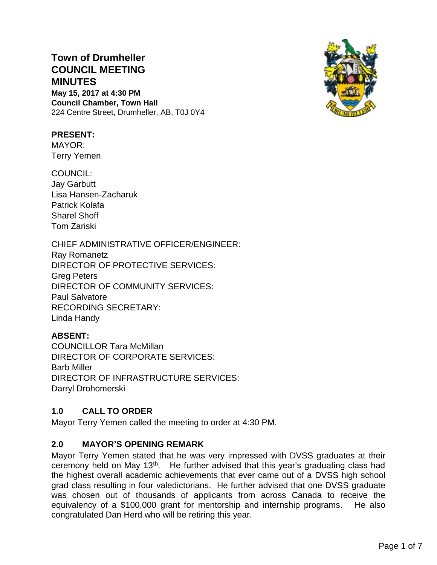# **Town of Drumheller COUNCIL MEETING MINUTES**

**May 15, 2017 at 4:30 PM Council Chamber, Town Hall** 224 Centre Street, Drumheller, AB, T0J 0Y4



# **PRESENT:**

MAYOR: Terry Yemen

COUNCIL: Jay Garbutt Lisa Hansen-Zacharuk Patrick Kolafa Sharel Shoff Tom Zariski

# CHIEF ADMINISTRATIVE OFFICER/ENGINEER:

Ray Romanetz DIRECTOR OF PROTECTIVE SERVICES: Greg Peters DIRECTOR OF COMMUNITY SERVICES: Paul Salvatore RECORDING SECRETARY: Linda Handy

# **ABSENT:**

COUNCILLOR Tara McMillan DIRECTOR OF CORPORATE SERVICES: Barb Miller DIRECTOR OF INFRASTRUCTURE SERVICES: Darryl Drohomerski

# **1.0 CALL TO ORDER**

Mayor Terry Yemen called the meeting to order at 4:30 PM.

# **2.0 MAYOR'S OPENING REMARK**

Mayor Terry Yemen stated that he was very impressed with DVSS graduates at their ceremony held on May 13th. He further advised that this year's graduating class had the highest overall academic achievements that ever came out of a DVSS high school grad class resulting in four valedictorians. He further advised that one DVSS graduate was chosen out of thousands of applicants from across Canada to receive the equivalency of a \$100,000 grant for mentorship and internship programs. He also congratulated Dan Herd who will be retiring this year.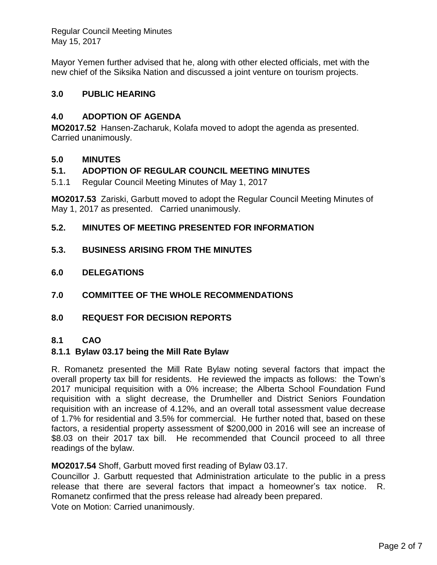Mayor Yemen further advised that he, along with other elected officials, met with the new chief of the Siksika Nation and discussed a joint venture on tourism projects.

# **3.0 PUBLIC HEARING**

# **4.0 ADOPTION OF AGENDA**

**MO2017.52** Hansen-Zacharuk, Kolafa moved to adopt the agenda as presented. Carried unanimously.

# **5.0 MINUTES**

# **5.1. ADOPTION OF REGULAR COUNCIL MEETING MINUTES**

5.1.1 Regular Council Meeting Minutes of May 1, 2017

**MO2017.53** Zariski, Garbutt moved to adopt the Regular Council Meeting Minutes of May 1, 2017 as presented. Carried unanimously.

# **5.2. MINUTES OF MEETING PRESENTED FOR INFORMATION**

- **5.3. BUSINESS ARISING FROM THE MINUTES**
- **6.0 DELEGATIONS**
- **7.0 COMMITTEE OF THE WHOLE RECOMMENDATIONS**
- **8.0 REQUEST FOR DECISION REPORTS**

# **8.1 CAO**

# **8.1.1 Bylaw 03.17 being the Mill Rate Bylaw**

R. Romanetz presented the Mill Rate Bylaw noting several factors that impact the overall property tax bill for residents. He reviewed the impacts as follows: the Town's 2017 municipal requisition with a 0% increase; the Alberta School Foundation Fund requisition with a slight decrease, the Drumheller and District Seniors Foundation requisition with an increase of 4.12%, and an overall total assessment value decrease of 1.7% for residential and 3.5% for commercial. He further noted that, based on these factors, a residential property assessment of \$200,000 in 2016 will see an increase of \$8.03 on their 2017 tax bill. He recommended that Council proceed to all three readings of the bylaw.

# **MO2017.54** Shoff, Garbutt moved first reading of Bylaw 03.17.

Councillor J. Garbutt requested that Administration articulate to the public in a press release that there are several factors that impact a homeowner's tax notice. R. Romanetz confirmed that the press release had already been prepared. Vote on Motion: Carried unanimously.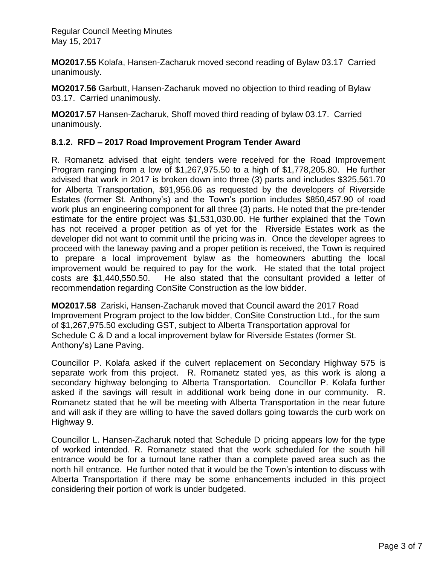**MO2017.55** Kolafa, Hansen-Zacharuk moved second reading of Bylaw 03.17 Carried unanimously.

**MO2017.56** Garbutt, Hansen-Zacharuk moved no objection to third reading of Bylaw 03.17. Carried unanimously.

**MO2017.57** Hansen-Zacharuk, Shoff moved third reading of bylaw 03.17. Carried unanimously.

# **8.1.2. RFD – 2017 Road Improvement Program Tender Award**

R. Romanetz advised that eight tenders were received for the Road Improvement Program ranging from a low of \$1,267,975.50 to a high of \$1,778,205.80. He further advised that work in 2017 is broken down into three (3) parts and includes \$325,561.70 for Alberta Transportation, \$91,956.06 as requested by the developers of Riverside Estates (former St. Anthony's) and the Town's portion includes \$850,457.90 of road work plus an engineering component for all three (3) parts. He noted that the pre-tender estimate for the entire project was \$1,531,030.00. He further explained that the Town has not received a proper petition as of yet for the Riverside Estates work as the developer did not want to commit until the pricing was in. Once the developer agrees to proceed with the laneway paving and a proper petition is received, the Town is required to prepare a local improvement bylaw as the homeowners abutting the local improvement would be required to pay for the work. He stated that the total project costs are \$1,440,550.50. He also stated that the consultant provided a letter of recommendation regarding ConSite Construction as the low bidder.

**MO2017.58** Zariski, Hansen-Zacharuk moved that Council award the 2017 Road Improvement Program project to the low bidder, ConSite Construction Ltd., for the sum of \$1,267,975.50 excluding GST, subject to Alberta Transportation approval for Schedule C & D and a local improvement bylaw for Riverside Estates (former St. Anthony's) Lane Paving.

Councillor P. Kolafa asked if the culvert replacement on Secondary Highway 575 is separate work from this project. R. Romanetz stated yes, as this work is along a secondary highway belonging to Alberta Transportation. Councillor P. Kolafa further asked if the savings will result in additional work being done in our community. R. Romanetz stated that he will be meeting with Alberta Transportation in the near future and will ask if they are willing to have the saved dollars going towards the curb work on Highway 9.

Councillor L. Hansen-Zacharuk noted that Schedule D pricing appears low for the type of worked intended. R. Romanetz stated that the work scheduled for the south hill entrance would be for a turnout lane rather than a complete paved area such as the north hill entrance. He further noted that it would be the Town's intention to discuss with Alberta Transportation if there may be some enhancements included in this project considering their portion of work is under budgeted.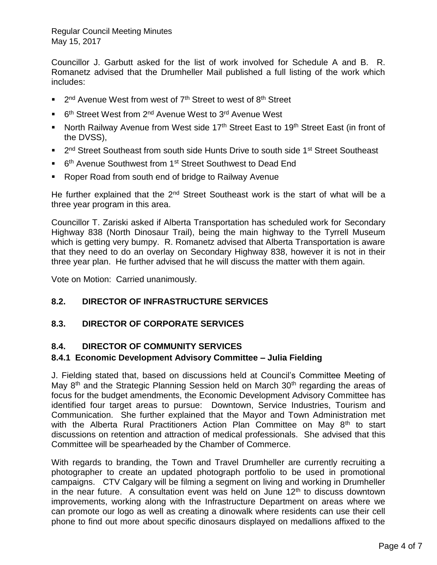Councillor J. Garbutt asked for the list of work involved for Schedule A and B. R. Romanetz advised that the Drumheller Mail published a full listing of the work which includes:

- 2<sup>nd</sup> Avenue West from west of 7<sup>th</sup> Street to west of 8<sup>th</sup> Street
- 6<sup>th</sup> Street West from 2<sup>nd</sup> Avenue West to 3<sup>rd</sup> Avenue West
- North Railway Avenue from West side 17<sup>th</sup> Street East to 19<sup>th</sup> Street East (in front of the DVSS),
- 2<sup>nd</sup> Street Southeast from south side Hunts Drive to south side 1<sup>st</sup> Street Southeast
- 6<sup>th</sup> Avenue Southwest from 1<sup>st</sup> Street Southwest to Dead End
- Roper Road from south end of bridge to Railway Avenue

He further explained that the  $2<sup>nd</sup>$  Street Southeast work is the start of what will be a three year program in this area.

Councillor T. Zariski asked if Alberta Transportation has scheduled work for Secondary Highway 838 (North Dinosaur Trail), being the main highway to the Tyrrell Museum which is getting very bumpy. R. Romanetz advised that Alberta Transportation is aware that they need to do an overlay on Secondary Highway 838, however it is not in their three year plan. He further advised that he will discuss the matter with them again.

Vote on Motion: Carried unanimously.

# **8.2. DIRECTOR OF INFRASTRUCTURE SERVICES**

# **8.3. DIRECTOR OF CORPORATE SERVICES**

# **8.4. DIRECTOR OF COMMUNITY SERVICES**

# **8.4.1 Economic Development Advisory Committee – Julia Fielding**

J. Fielding stated that, based on discussions held at Council's Committee Meeting of May  $8<sup>th</sup>$  and the Strategic Planning Session held on March 30<sup>th</sup> regarding the areas of focus for the budget amendments, the Economic Development Advisory Committee has identified four target areas to pursue: Downtown, Service Industries, Tourism and Communication. She further explained that the Mayor and Town Administration met with the Alberta Rural Practitioners Action Plan Committee on May  $8<sup>th</sup>$  to start discussions on retention and attraction of medical professionals. She advised that this Committee will be spearheaded by the Chamber of Commerce.

With regards to branding, the Town and Travel Drumheller are currently recruiting a photographer to create an updated photograph portfolio to be used in promotional campaigns. CTV Calgary will be filming a segment on living and working in Drumheller in the near future. A consultation event was held on June  $12<sup>th</sup>$  to discuss downtown improvements, working along with the Infrastructure Department on areas where we can promote our logo as well as creating a dinowalk where residents can use their cell phone to find out more about specific dinosaurs displayed on medallions affixed to the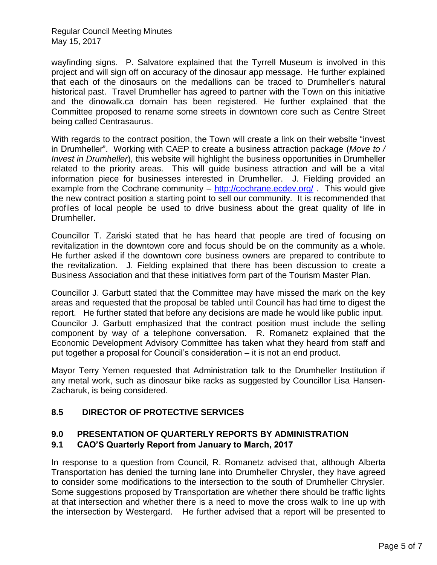wayfinding signs. P. Salvatore explained that the Tyrrell Museum is involved in this project and will sign off on accuracy of the dinosaur app message. He further explained that each of the dinosaurs on the medallions can be traced to Drumheller's natural historical past. Travel Drumheller has agreed to partner with the Town on this initiative and the dinowalk.ca domain has been registered. He further explained that the Committee proposed to rename some streets in downtown core such as Centre Street being called Centrasaurus.

With regards to the contract position, the Town will create a link on their website "invest in Drumheller". Working with CAEP to create a business attraction package (*Move to / Invest in Drumheller*), this website will highlight the business opportunities in Drumheller related to the priority areas. This will guide business attraction and will be a vital information piece for businesses interested in Drumheller. J. Fielding provided an example from the Cochrane community – <http://cochrane.ecdev.org/> . This would give the new contract position a starting point to sell our community. It is recommended that profiles of local people be used to drive business about the great quality of life in Drumheller.

Councillor T. Zariski stated that he has heard that people are tired of focusing on revitalization in the downtown core and focus should be on the community as a whole. He further asked if the downtown core business owners are prepared to contribute to the revitalization. J. Fielding explained that there has been discussion to create a Business Association and that these initiatives form part of the Tourism Master Plan.

Councillor J. Garbutt stated that the Committee may have missed the mark on the key areas and requested that the proposal be tabled until Council has had time to digest the report. He further stated that before any decisions are made he would like public input. Councilor J. Garbutt emphasized that the contract position must include the selling component by way of a telephone conversation. R. Romanetz explained that the Economic Development Advisory Committee has taken what they heard from staff and put together a proposal for Council's consideration – it is not an end product.

Mayor Terry Yemen requested that Administration talk to the Drumheller Institution if any metal work, such as dinosaur bike racks as suggested by Councillor Lisa Hansen-Zacharuk, is being considered.

# **8.5 DIRECTOR OF PROTECTIVE SERVICES**

#### **9.0 PRESENTATION OF QUARTERLY REPORTS BY ADMINISTRATION 9.1 CAO'S Quarterly Report from January to March, 2017**

In response to a question from Council, R. Romanetz advised that, although Alberta Transportation has denied the turning lane into Drumheller Chrysler, they have agreed to consider some modifications to the intersection to the south of Drumheller Chrysler. Some suggestions proposed by Transportation are whether there should be traffic lights at that intersection and whether there is a need to move the cross walk to line up with the intersection by Westergard. He further advised that a report will be presented to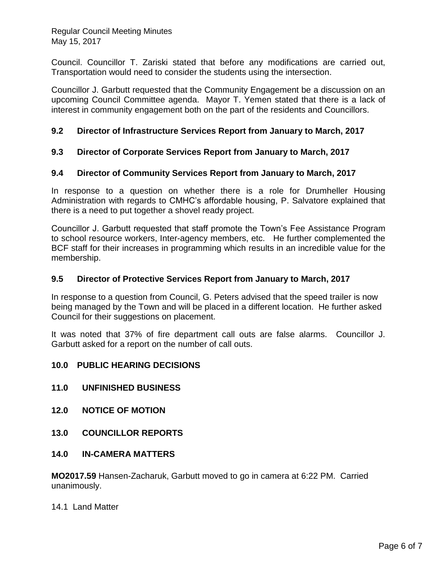Council. Councillor T. Zariski stated that before any modifications are carried out, Transportation would need to consider the students using the intersection.

Councillor J. Garbutt requested that the Community Engagement be a discussion on an upcoming Council Committee agenda. Mayor T. Yemen stated that there is a lack of interest in community engagement both on the part of the residents and Councillors.

# **9.2 Director of Infrastructure Services Report from January to March, 2017**

# **9.3 Director of Corporate Services Report from January to March, 2017**

# **9.4 Director of Community Services Report from January to March, 2017**

In response to a question on whether there is a role for Drumheller Housing Administration with regards to CMHC's affordable housing, P. Salvatore explained that there is a need to put together a shovel ready project.

Councillor J. Garbutt requested that staff promote the Town's Fee Assistance Program to school resource workers, Inter-agency members, etc. He further complemented the BCF staff for their increases in programming which results in an incredible value for the membership.

# **9.5 Director of Protective Services Report from January to March, 2017**

In response to a question from Council, G. Peters advised that the speed trailer is now being managed by the Town and will be placed in a different location. He further asked Council for their suggestions on placement.

It was noted that 37% of fire department call outs are false alarms. Councillor J. Garbutt asked for a report on the number of call outs.

# **10.0 PUBLIC HEARING DECISIONS**

- **11.0 UNFINISHED BUSINESS**
- **12.0 NOTICE OF MOTION**
- **13.0 COUNCILLOR REPORTS**

# **14.0 IN-CAMERA MATTERS**

**MO2017.59** Hansen-Zacharuk, Garbutt moved to go in camera at 6:22 PM. Carried unanimously.

#### 14.1 Land Matter